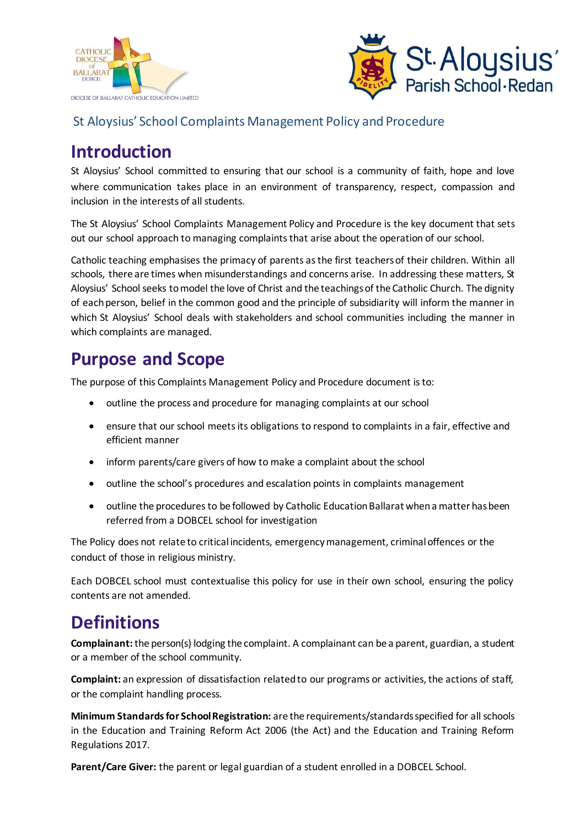



#### St Aloysius' School Complaints Management Policy and Procedure

## **Introduction**

St Aloysius' School committed to ensuring that our school is a community of faith, hope and love where communication takes place in an environment of transparency, respect, compassion and inclusion in the interests of all students.

The St Aloysius' School Complaints Management Policy and Procedure is the key document that sets out our school approach to managing complaints that arise about the operation of our school.

Catholic teaching emphasises the primacy of parents as the first teachers of their children. Within all schools, there are times when misunderstandings and concerns arise. In addressing these matters, St Aloysius' School seeks to model the love of Christ and the teachings of the Catholic Church. The dignity of each person, belief in the common good and the principle of subsidiarity will inform the manner in which St Aloysius' School deals with stakeholders and school communities including the manner in which complaints are managed.

## **Purpose and Scope**

The purpose of this Complaints Management Policy and Procedure document isto:

- $\bullet$  outline the process and procedure for managing complaints at our school
- ensure that our school meets its obligations to respond to complaints in a fair, effective and efficient manner
- inform parents/care givers of how to make a complaint about the school
- outline the school's procedures and escalation points in complaints management
- outline the procedures to be followed by Catholic Education Ballarat when a matter has been referred from a DOBCEL school for investigation

The Policy does not relate to critical incidents, emergency management, criminal offences or the conduct of those in religious ministry.

Each DOBCEL school must contextualise this policy for use in their own school, ensuring the policy contents are not amended.

### **Definitions**

**Complainant:**the person(s) lodging the complaint. A complainant can be a parent, guardian, a student or a member of the school community.

**Complaint:** an expression of dissatisfaction related to our programs or activities, the actions of staff, or the complaint handling process.

**Minimum Standards for School Registration:** are the requirements/standards specified for all schools in the Education and Training Reform Act 2006 (the Act) and the Education and Training Reform Regulations 2017.

**Parent/Care Giver:** the parent or legal guardian of a student enrolled in a DOBCEL School.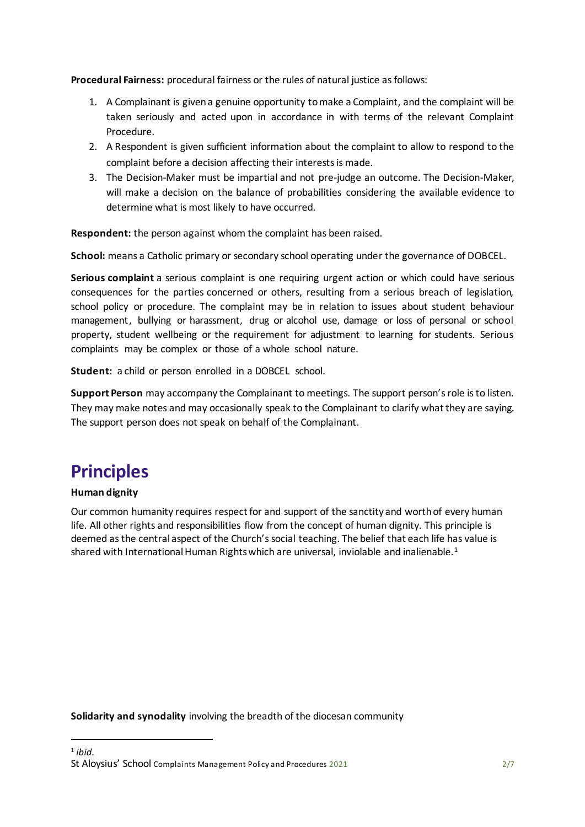**Procedural Fairness:** procedural fairness or the rules of natural justice as follows:

- 1. A Complainant is given a genuine opportunity to make a Complaint, and the complaint will be taken seriously and acted upon in accordance in with terms of the relevant Complaint Procedure.
- 2. A Respondent is given sufficient information about the complaint to allow to respond to the complaint before a decision affecting their interests is made.
- 3. The Decision-Maker must be impartial and not pre-judge an outcome. The Decision-Maker, will make a decision on the balance of probabilities considering the available evidence to determine what is most likely to have occurred.

**Respondent:** the person against whom the complaint has been raised.

**School:** means a Catholic primary or secondary school operating under the governance of DOBCEL.

**Serious complaint** a serious complaint is one requiring urgent action or which could have serious consequences for the parties concerned or others, resulting from a serious breach of legislation, school policy or procedure. The complaint may be in relation to issues about student behaviour management, bullying or harassment, drug or alcohol use, damage or loss of personal or school property, student wellbeing or the requirement for adjustment to learning for students. Serious complaints may be complex or those of a whole school nature.

**Student:** a child or person enrolled in a DOBCEL school.

**Support Person** may accompany the Complainant to meetings. The support person's role is to listen. They may make notes and may occasionally speak to the Complainant to clarify what they are saying. The support person does not speak on behalf of the Complainant.

# **Principles**

#### **Human dignity**

1

Our common humanity requires respect for and support of the sanctity and worth of every human life. All other rights and responsibilities flow from the concept of human dignity. This principle is deemed as the central aspect of the Church's social teaching. The belief that each life has value is shared with International Human Rights which are universal, inviolable and inalienable.<sup>1</sup>

**Solidarity and synodality** involving the breadth of the diocesan community

St Aloysius' School Complaints Management Policy and Procedures 2021 2021 1 *ibid.*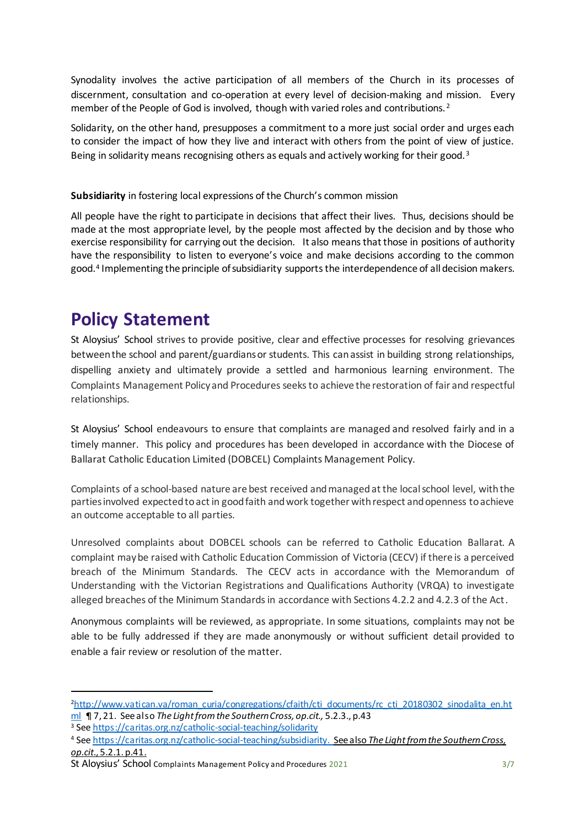Synodality involves the active participation of all members of the Church in its processes of discernment, consultation and co-operation at every level of decision-making and mission. Every member of the People of God is involved, though with varied roles and contributions.<sup>2</sup>

Solidarity, on the other hand, presupposes a commitment to a more just social order and urges each to consider the impact of how they live and interact with others from the point of view of justice. Being in solidarity means recognising others as equals and actively working for their good.<sup>3</sup>

**Subsidiarity** in fostering local expressions of the Church's common mission

All people have the right to participate in decisions that affect their lives. Thus, decisions should be made at the most appropriate level, by the people most affected by the decision and by those who exercise responsibility for carrying out the decision. It also means that those in positions of authority have the responsibility to listen to everyone's voice and make decisions according to the common good.<sup>4</sup> Implementing the principle of subsidiarity supports the interdependence of all decision makers.

### **Policy Statement**

St Aloysius' School strives to provide positive, clear and effective processes for resolving grievances between the school and parent/guardians or students. This can assist in building strong relationships, dispelling anxiety and ultimately provide a settled and harmonious learning environment. The Complaints Management Policy and Procedures seeksto achieve the restoration of fair and respectful relationships.

St Aloysius' School endeavours to ensure that complaints are managed and resolved fairly and in a timely manner. This policy and procedures has been developed in accordance with the Diocese of Ballarat Catholic Education Limited (DOBCEL) Complaints Management Policy.

Complaints of a school-based nature are best received andmanagedat the localschool level, with the parties involved expected to act in good faith and work together with respect and openness to achieve an outcome acceptable to all parties.

Unresolved complaints about DOBCEL schools can be referred to Catholic Education Ballarat. A complaint may be raised with Catholic Education Commission of Victoria (CECV) if there is a perceived breach of the Minimum Standards. The CECV acts in accordance with the Memorandum of Understanding with the Victorian Registrations and Qualifications Authority (VRQA) to investigate alleged breaches of the Minimum Standards in accordance with Sections 4.2.2 and 4.2.3 of the Act.

Anonymous complaints will be reviewed, as appropriate. In some situations, complaints may not be able to be fully addressed if they are made anonymously or without sufficient detail provided to enable a fair review or resolution of the matter.

 $\overline{a}$ 

<sup>&</sup>lt;sup>2</sup>[http://www.vatican.va/roman\\_curia/congregations/cfaith/cti\\_documents/rc\\_cti\\_20180302\\_sinodalita\\_en.ht](http://www.vatican.va/roman_curia/congregations/cfaith/cti_documents/rc_cti_20180302_sinodalita_en.html) [ml](http://www.vatican.va/roman_curia/congregations/cfaith/cti_documents/rc_cti_20180302_sinodalita_en.html) ¶ 7, 21. See also *The Light from the Southern Cross, op.cit.,* 5.2.3., p.43

<sup>3</sup> Se[e https://caritas.org.nz/catholic-social-teaching/solidarity](https://caritas.org.nz/catholic-social-teaching/solidarity)

<sup>4</sup> Se[e https://caritas.org.nz/catholic-social-teaching/subsidiarity](https://caritas.org.nz/catholic-social-teaching/subsidiarity). See also *The Light from the Southern Cross, op.cit*., 5.2.1. p.41.

St Aloysius' School Complaints Management Policy and Procedures 2021 3/7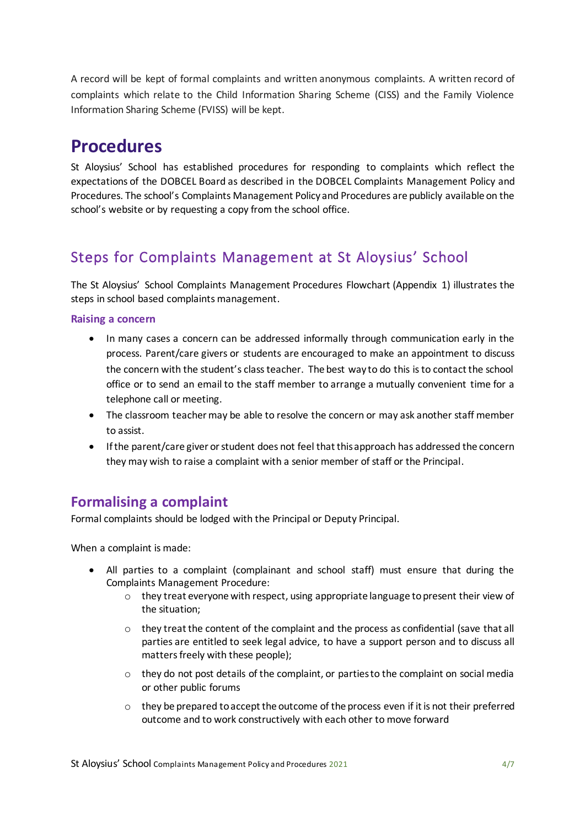A record will be kept of formal complaints and written anonymous complaints. A written record of complaints which relate to the Child Information Sharing Scheme (CISS) and the Family Violence Information Sharing Scheme (FVISS) will be kept.

## **Procedures**

St Aloysius' School has established procedures for responding to complaints which reflect the expectations of the DOBCEL Board as described in the DOBCEL Complaints Management Policy and Procedures. The school's Complaints Management Policy and Procedures are publicly available on the school's website or by requesting a copy from the school office.

### Steps for Complaints Management at St Aloysius' School

The St Aloysius' School Complaints Management Procedures Flowchart (Appendix 1) illustrates the steps in school based complaints management.

#### **Raising a concern**

- In many cases a concern can be addressed informally through communication early in the process. Parent/care givers or students are encouraged to make an appointment to discuss the concern with the student's class teacher. The best way to do this is to contact the school office or to send an email to the staff member to arrange a mutually convenient time for a telephone call or meeting.
- The classroom teacher may be able to resolve the concern or may ask another staff member to assist.
- If the parent/care giver or student does not feel that this approach has addressed the concern they may wish to raise a complaint with a senior member of staff or the Principal.

#### **Formalising a complaint**

Formal complaints should be lodged with the Principal or Deputy Principal.

When a complaint is made:

- All parties to a complaint (complainant and school staff) must ensure that during the Complaints Management Procedure:
	- $\circ$  they treat everyone with respect, using appropriate language to present their view of the situation;
	- $\circ$  they treat the content of the complaint and the process as confidential (save that all parties are entitled to seek legal advice, to have a support person and to discuss all matters freely with these people);
	- $\circ$  they do not post details of the complaint, or parties to the complaint on social media or other public forums
	- $\circ$  they be prepared to accept the outcome of the process even if it is not their preferred outcome and to work constructively with each other to move forward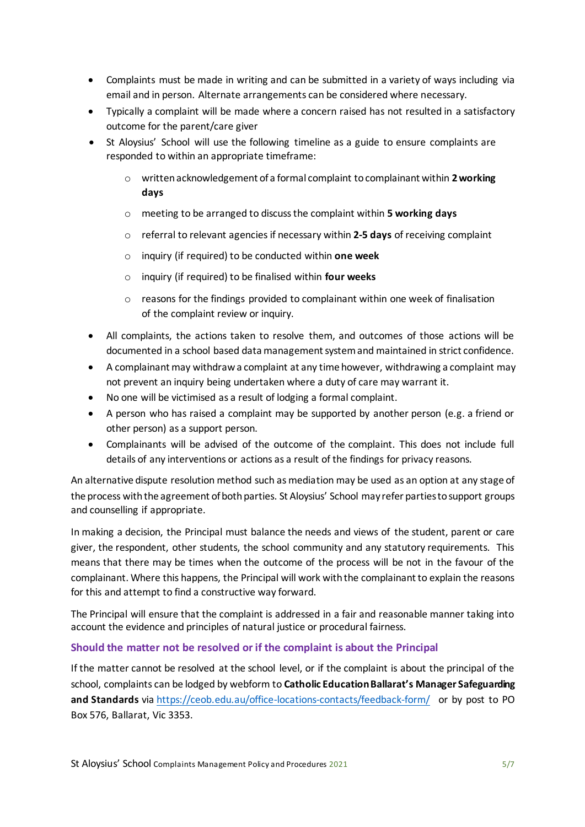- Complaints must be made in writing and can be submitted in a variety of ways including via email and in person. Alternate arrangements can be considered where necessary.
- Typically a complaint will be made where a concern raised has not resulted in a satisfactory outcome for the parent/care giver
- St Aloysius' School will use the following timeline as a guide to ensure complaints are responded to within an appropriate timeframe:
	- o writtenacknowledgement of a formal complaint to complainant within **2working days**
	- o meeting to be arranged to discuss the complaint within **5 working days**
	- o referral to relevant agencies if necessary within **2-5 days** of receiving complaint
	- o inquiry (if required) to be conducted within **one week**
	- o inquiry (if required) to be finalised within **four weeks**
	- $\circ$  reasons for the findings provided to complainant within one week of finalisation of the complaint review or inquiry.
- All complaints, the actions taken to resolve them, and outcomes of those actions will be documented in a school based data management system and maintained in strict confidence.
- A complainant may withdraw a complaint at any time however, withdrawing a complaint may not prevent an inquiry being undertaken where a duty of care may warrant it.
- No one will be victimised as a result of lodging a formal complaint.
- A person who has raised a complaint may be supported by another person (e.g. a friend or other person) as a support person.
- Complainants will be advised of the outcome of the complaint. This does not include full details of any interventions or actions as a result of the findings for privacy reasons.

An alternative dispute resolution method such as mediation may be used as an option at any stage of the process with the agreement of both parties. St Aloysius' School may refer parties to support groups and counselling if appropriate.

In making a decision, the Principal must balance the needs and views of the student, parent or care giver, the respondent, other students, the school community and any statutory requirements. This means that there may be times when the outcome of the process will be not in the favour of the complainant. Where this happens, the Principal will work with the complainant to explain the reasons for this and attempt to find a constructive way forward.

The Principal will ensure that the complaint is addressed in a fair and reasonable manner taking into account the evidence and principles of natural justice or procedural fairness.

#### **Should the matter not be resolved or if the complaint is about the Principal**

If the matter cannot be resolved at the school level, or if the complaint is about the principal of the school, complaints can be lodged by webform to **Catholic Education Ballarat's Manager Safeguarding and Standards** via <https://ceob.edu.au/office-locations-contacts/feedback-form/> or by post to PO Box 576, Ballarat, Vic 3353.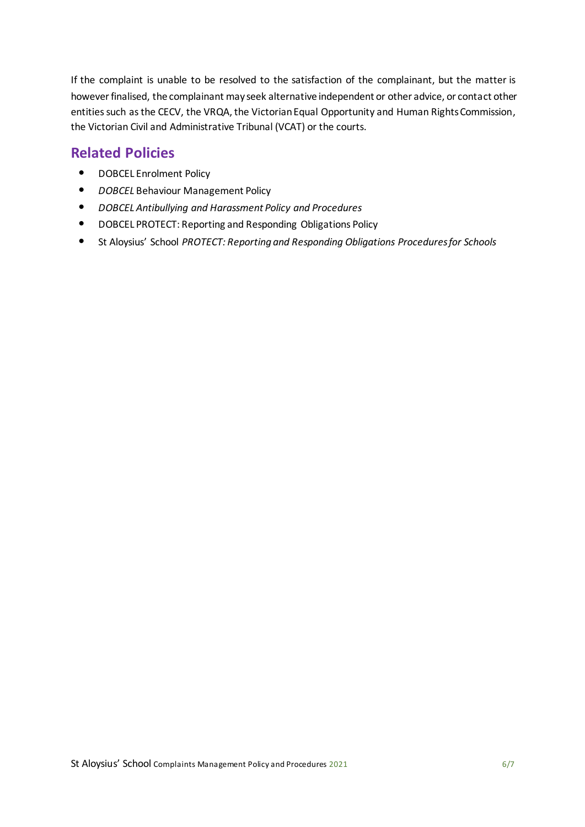If the complaint is unable to be resolved to the satisfaction of the complainant, but the matter is however finalised, the complainant may seek alternative independent or other advice, or contact other entities such as the CECV, the VRQA, the Victorian Equal Opportunity and Human Rights Commission, the Victorian Civil and Administrative Tribunal (VCAT) or the courts.

### **Related Policies**

- DOBCEL Enrolment Policy
- *DOBCEL* Behaviour Management Policy
- *DOBCEL Antibullying and Harassment Policy and Procedures*
- DOBCEL PROTECT: Reporting and Responding Obligations Policy
- St Aloysius' School *PROTECT: Reporting and Responding Obligations Procedures for Schools*